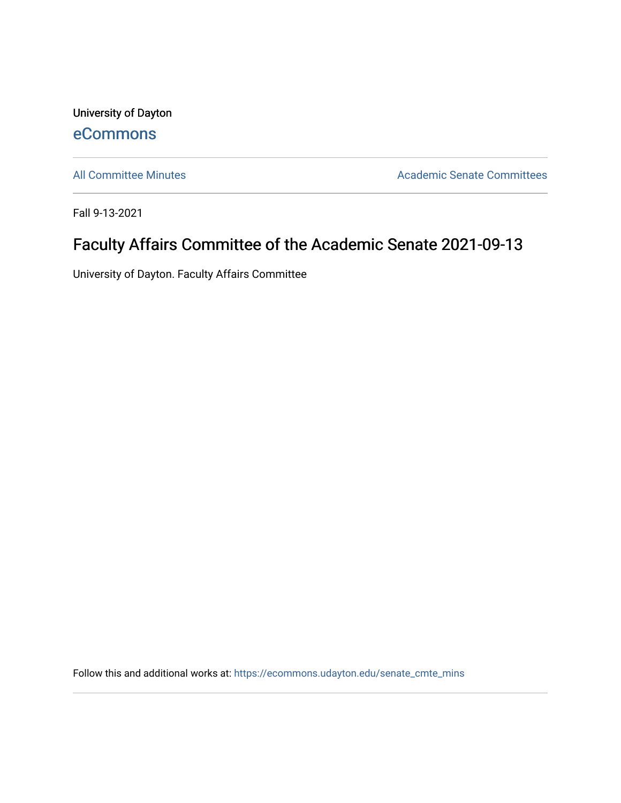University of Dayton [eCommons](https://ecommons.udayton.edu/)

[All Committee Minutes](https://ecommons.udayton.edu/senate_cmte_mins) **Academic Senate Committees** 

Fall 9-13-2021

## Faculty Affairs Committee of the Academic Senate 2021-09-13

University of Dayton. Faculty Affairs Committee

Follow this and additional works at: [https://ecommons.udayton.edu/senate\\_cmte\\_mins](https://ecommons.udayton.edu/senate_cmte_mins?utm_source=ecommons.udayton.edu%2Fsenate_cmte_mins%2F464&utm_medium=PDF&utm_campaign=PDFCoverPages)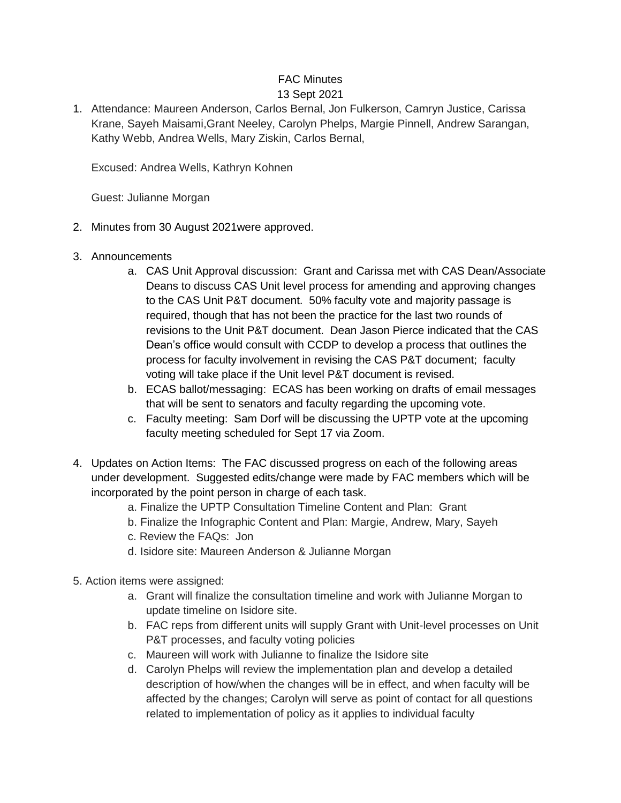## FAC Minutes 13 Sept 2021

1. Attendance: Maureen Anderson, Carlos Bernal, Jon Fulkerson, Camryn Justice, Carissa Krane, Sayeh Maisami,Grant Neeley, Carolyn Phelps, Margie Pinnell, Andrew Sarangan, Kathy Webb, Andrea Wells, Mary Ziskin, Carlos Bernal,

Excused: Andrea Wells, Kathryn Kohnen

Guest: Julianne Morgan

- 2. Minutes from 30 August 2021were approved.
- 3. Announcements
	- a. CAS Unit Approval discussion: Grant and Carissa met with CAS Dean/Associate Deans to discuss CAS Unit level process for amending and approving changes to the CAS Unit P&T document. 50% faculty vote and majority passage is required, though that has not been the practice for the last two rounds of revisions to the Unit P&T document. Dean Jason Pierce indicated that the CAS Dean's office would consult with CCDP to develop a process that outlines the process for faculty involvement in revising the CAS P&T document; faculty voting will take place if the Unit level P&T document is revised.
	- b. ECAS ballot/messaging: ECAS has been working on drafts of email messages that will be sent to senators and faculty regarding the upcoming vote.
	- c. Faculty meeting: Sam Dorf will be discussing the UPTP vote at the upcoming faculty meeting scheduled for Sept 17 via Zoom.
- 4. Updates on Action Items: The FAC discussed progress on each of the following areas under development. Suggested edits/change were made by FAC members which will be incorporated by the point person in charge of each task.
	- a. Finalize the UPTP Consultation Timeline Content and Plan: Grant
	- b. Finalize the Infographic Content and Plan: Margie, Andrew, Mary, Sayeh
	- c. Review the FAQs: Jon
	- d. Isidore site: Maureen Anderson & Julianne Morgan
- 5. Action items were assigned:
	- a. Grant will finalize the consultation timeline and work with Julianne Morgan to update timeline on Isidore site.
	- b. FAC reps from different units will supply Grant with Unit-level processes on Unit P&T processes, and faculty voting policies
	- c. Maureen will work with Julianne to finalize the Isidore site
	- d. Carolyn Phelps will review the implementation plan and develop a detailed description of how/when the changes will be in effect, and when faculty will be affected by the changes; Carolyn will serve as point of contact for all questions related to implementation of policy as it applies to individual faculty